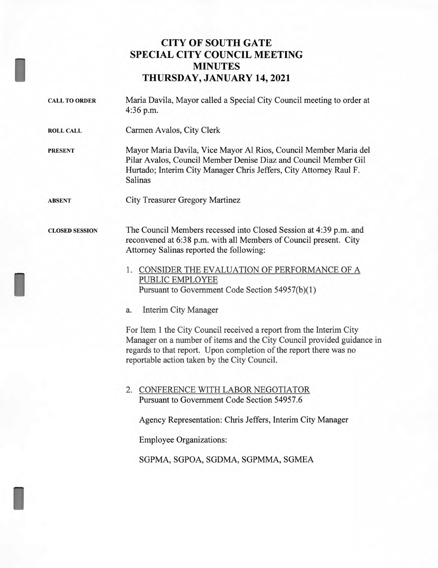## **CITY OF SOUTH GATE SPECIAL CITY COUNCIL MEETING MINUTES THURSDAY, JANUARY 14, 2021**

I

I

I

CALL TO ORDER Maria Davila, Mayor called a Special City Council meeting to order at 4:36 p.m. ROLL CALL Carmen Avalos, City Clerk PRESENT Mayor Maria Davila, Vice Mayor Al Rios, Council Member Maria del Pilar Avalos, Council Member Denise Diaz and Council Member Gil Hurtado; Interim City Manager Chris Jeffers, City Attorney Raul F. Salinas ABSENT City Treasurer Gregory Martinez CLOSED SESSION The Council Members recessed into Closed Session at 4:39 p.m. and reconvened at 6:38 p.m. with all Members of Council present. City Attorney Salinas reported the following: 1. CONSIDER THE EVALUATION OF PERFORMANCE OF A PUBLIC EMPLOYEE Pursuant to Government Code Section 54957(b)(1) a. Interim City Manager For Item 1 the City Council received a report from the Interim City Manager on a number of items and the City Council provided guidance in regards to that report. Upon completion of the report there was no reportable action taken by the City Council. 2. CONFERENCE WITH LABOR NEGOTIATOR Pursuant to Government Code Section 54957.6 Agency Representation: Chris Jeffers, Interim City Manager Employee Organizations: SGPMA, SGPOA, SGDMA, SGPMMA, SGMEA